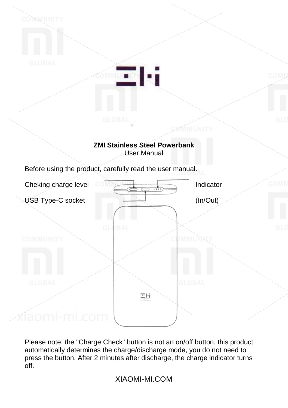

Please note: the "Charge Check" button is not an on/off button, this product automatically determines the charge/discharge mode, you do not need to press the button. After 2 minutes after discharge, the charge indicator turns off.

XIAOMI-MI.COM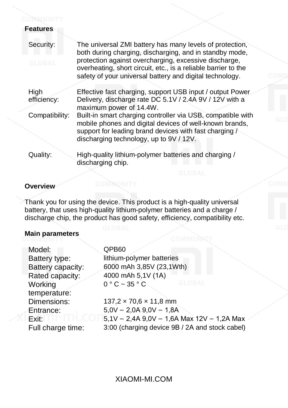## COMMUNITY **Features**

| Security:      | The universal ZMI battery has many levels of protection,<br>both during charging, discharging, and in standby mode,                                                                 |
|----------------|-------------------------------------------------------------------------------------------------------------------------------------------------------------------------------------|
| <b>GLOBAL</b>  | protection against overcharging, excessive discharge,<br>overheating, short circuit, etc., is a reliable barrier to the<br>safety of your universal battery and digital technology. |
| High           | Effective fast charging, support USB input / output Power                                                                                                                           |
| efficiency:    | Delivery, discharge rate DC 5.1V / 2.4A 9V / 12V with a                                                                                                                             |
|                | maximum power of 14.4W.                                                                                                                                                             |
| Compatibility: | Built-in smart charging controller via USB, compatible with<br>mobile phones and digital devices of well-known brands,                                                              |
|                | support for leading brand devices with fast charging /<br>discharging technology, up to 9V / 12V.                                                                                   |
|                |                                                                                                                                                                                     |
| Quality:       | High-quality lithium-polymer batteries and charging /<br>discharging chip.                                                                                                          |
|                |                                                                                                                                                                                     |

### **Overview**

Thank you for using the device. This product is a high-quality universal battery, that uses high-quality lithium-polymer batteries and a charge / discharge chip, the product has good safety, efficiency, compatibility etc.

COMMUNITY

COMMUNITY

# **Main parameters**

| Model:            | QPB60                                          |
|-------------------|------------------------------------------------|
| Battery type:     | lithium-polymer batteries                      |
| Battery capacity: | 6000 mAh 3,85V (23,1Wth)                       |
| Rated capacity:   | 4000 mAh 5,1V (1A)                             |
| Working           | GLORAL<br>$0 °C \sim 35 °C$                    |
| temperature:      |                                                |
| Dimensions:       | $137,2 \times 70,6 \times 11,8 \text{ mm}$     |
| Entrance:         | $5,0V = 2,0A$ 9,0V = 1,8A                      |
| Exit:             | $5,1V = 2,4A$ 9,0V = 1,6A Max 12V = 1,2A Max   |
| Full charge time: | 3:00 (charging device 9B / 2A and stock cabel) |
|                   |                                                |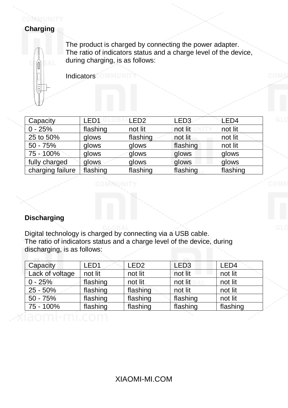## COMMUNITY **Charging**

The product is charged by connecting the power adapter. The ratio of indicators status and a charge level of the device, during charging, is as follows:

**IndicatorsCOMMUNI** 

| Capacity         | LED1     | LED <sub>2</sub> | LED3     | LED4     |
|------------------|----------|------------------|----------|----------|
| $0 - 25%$        | flashing | not lit          | not lit  | not lit  |
| 25 to 50%        | glows    | flashing         | not lit  | not lit  |
| $50 - 75%$       | glows    | glows            | flashing | not lit  |
| 75 - 100%        | glows    | glows            | glows    | glows    |
| fully charged    | glows    | glows            | glows    | glows    |
| charging failure | flashing | flashing         | flashing | flashing |

COMMUNITY

# **Discharging**

Digital technology is charged by connecting via a USB cable. The ratio of indicators status and a charge level of the device, during discharging, is as follows:

| LED <sub>1</sub> | LED <sub>2</sub> | LED <sub>3</sub> | LED4     |
|------------------|------------------|------------------|----------|
| not lit          | not lit          | not lit          | not lit  |
| flashing         | not lit          | not lit          | not lit  |
| flashing         | flashing         | not lit          | not lit  |
| flashing         | flashing         | flashing         | not lit  |
| flashing         | flashing         | flashing         | flashing |
|                  |                  |                  |          |
|                  | $1 - 111$ ( (    |                  |          |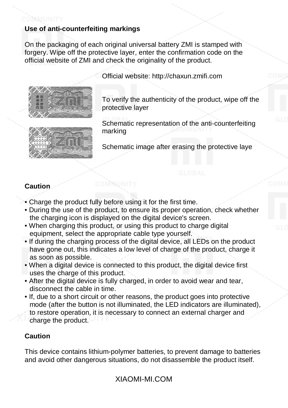# **Use of anti-counterfeiting markings**

On the packaging of each original universal battery ZMI is stamped with forgery. Wipe off the protective layer, enter the confirmation code on the official website of ZMI and check the originality of the product.





Official website: http://chaxun.zmifi.com

To verify the authenticity of the product, wipe off the protective layer

Schematic representation of the anti-counterfeiting marking

Schematic image after erasing the protective laye

## **Caution**

- Charge the product fully before using it for the first time.
- During the use of the product, to ensure its proper operation, check whether the charging icon is displayed on the digital device's screen.
- When charging this product, or using this product to charge digital equipment, select the appropriate cable type yourself.
- If during the charging process of the digital device, all LEDs on the product have gone out, this indicates a low level of charge of the product, charge it as soon as possible.
- When a digital device is connected to this product, the digital device first uses the charge of this product.
- After the digital device is fully charged, in order to avoid wear and tear, disconnect the cable in time.
- If, due to a short circuit or other reasons, the product goes into protective mode (after the button is not illuminated, the LED indicators are illuminated), to restore operation, it is necessary to connect an external charger and charge the product.

#### **Caution**

This device contains lithium-polymer batteries, to prevent damage to batteries and avoid other dangerous situations, do not disassemble the product itself.

XIAOMI-MI.COM